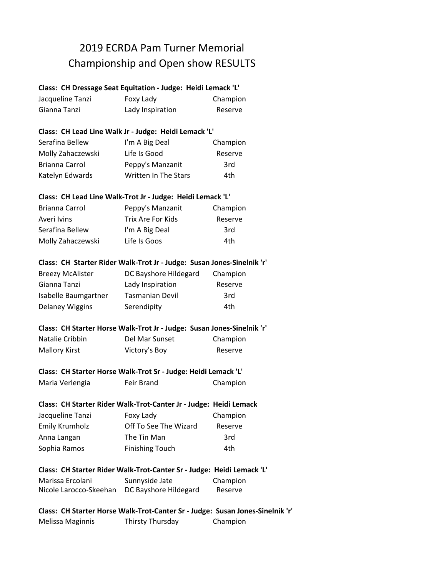# 2019 ECRDA Pam Turner Memorial Championship and Open show RESULTS

## **Class: CH Dressage Seat Equitation - Judge: Heidi Lemack 'L'**

| Jacqueline Tanzi | Foxy Lady        | Champion |
|------------------|------------------|----------|
| Gianna Tanzi     | Lady Inspiration | Reserve  |

#### **Class: CH Lead Line Walk Jr - Judge: Heidi Lemack 'L'**

| Serafina Bellew   | I'm A Big Deal       | Champion |
|-------------------|----------------------|----------|
| Molly Zahaczewski | Life Is Good         | Reserve  |
| Brianna Carrol    | Peppy's Manzanit     | 3rd      |
| Katelyn Edwards   | Written In The Stars | 4th      |

## **Class: CH Lead Line Walk-Trot Jr - Judge: Heidi Lemack 'L'**

| Brianna Carrol    | Peppy's Manzanit  | Champion |
|-------------------|-------------------|----------|
| Averi Ivins       | Trix Are For Kids | Reserve  |
| Serafina Bellew   | I'm A Big Deal    | 3rd      |
| Molly Zahaczewski | Life Is Goos      | 4th      |

## **Class: CH Starter Rider Walk-Trot Jr - Judge: Susan Jones-Sinelnik 'r'**

| <b>Breezy McAlister</b> | DC Bayshore Hildegard  | Champion |
|-------------------------|------------------------|----------|
| Gianna Tanzi            | Lady Inspiration       | Reserve  |
| Isabelle Baumgartner    | <b>Tasmanian Devil</b> | 3rd      |
| Delaney Wiggins         | Serendipity            | 4th      |

## **Class: CH Starter Horse Walk-Trot Jr - Judge: Susan Jones-Sinelnik 'r'**

| Natalie Cribbin      | Del Mar Sunset | Champion |
|----------------------|----------------|----------|
| <b>Mallory Kirst</b> | Victory's Boy  | Reserve  |

## **Class: CH Starter Horse Walk-Trot Sr - Judge: Heidi Lemack 'L'**

| Maria Verlengia | Feir Brand | Champion |
|-----------------|------------|----------|
|                 |            |          |

## **Class: CH Starter Rider Walk-Trot-Canter Jr - Judge: Heidi Lemack**

| Jacqueline Tanzi      | Foxy Lady              | Champion |
|-----------------------|------------------------|----------|
| <b>Emily Krumholz</b> | Off To See The Wizard  | Reserve  |
| Anna Langan           | The Tin Man            | 3rd      |
| Sophia Ramos          | <b>Finishing Touch</b> | 4th      |

## **Class: CH Starter Rider Walk-Trot-Canter Sr - Judge: Heidi Lemack 'L'**

| Marissa Ercolani       | Sunnyside Jate        | Champion |
|------------------------|-----------------------|----------|
| Nicole Larocco-Skeehan | DC Bayshore Hildegard | Reserve  |

## **Class: CH Starter Horse Walk-Trot-Canter Sr - Judge: Susan Jones-Sinelnik 'r'** Melissa Maginnis Thirsty Thursday Champion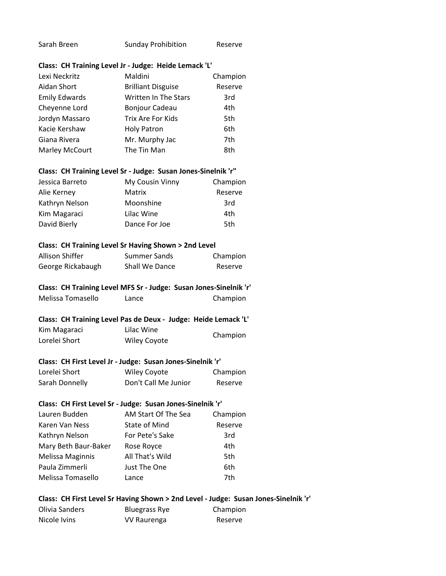| Sarah Breen | <b>Sunday Prohibition</b> | Reserve |
|-------------|---------------------------|---------|
|-------------|---------------------------|---------|

#### **Class: CH Training Level Jr - Judge: Heide Lemack 'L'**

| Lexi Neckritz        | Maldini                     | Champion |
|----------------------|-----------------------------|----------|
| Aidan Short          | <b>Brilliant Disguise</b>   | Reserve  |
| <b>Emily Edwards</b> | <b>Written In The Stars</b> | 3rd      |
| Cheyenne Lord        | Bonjour Cadeau              | 4th      |
| Jordyn Massaro       | Trix Are For Kids           | 5th      |
| Kacie Kershaw        | <b>Holy Patron</b>          | 6th      |
| Giana Rivera         | Mr. Murphy Jac              | 7th      |
| Marley McCourt       | The Tin Man                 | 8th      |

#### **Class: CH Training Level Sr - Judge: Susan Jones-Sinelnik 'r"**

| Jessica Barreto | My Cousin Vinny | Champion |
|-----------------|-----------------|----------|
| Alie Kerney     | Matrix          | Reserve  |
| Kathryn Nelson  | Moonshine       | 3rd      |
| Kim Magaraci    | Lilac Wine      | 4th      |
| David Bierly    | Dance For Joe   | 5th      |

#### **Class: CH Training Level Sr Having Shown > 2nd Level**

| Allison Shiffer   | Summer Sands   | Champion |
|-------------------|----------------|----------|
| George Rickabaugh | Shall We Dance | Reserve  |

## **Class: CH Training Level MFS Sr - Judge: Susan Jones-Sinelnik 'r'**

| Melissa Tomasello<br>Lance | Champion |
|----------------------------|----------|
|----------------------------|----------|

## **Class: CH Training Level Pas de Deux - Judge: Heide Lemack 'L'**

| Kim Magaraci  | Lilac Wine          | Champion |
|---------------|---------------------|----------|
| Lorelei Short | <b>Wiley Coyote</b> |          |

#### **Class: CH First Level Jr - Judge: Susan Jones-Sinelnik 'r'**

| Lorelei Short  | Wiley Coyote         | Champion |
|----------------|----------------------|----------|
| Sarah Donnelly | Don't Call Me Junior | Reserve  |

#### **Class: CH First Level Sr - Judge: Susan Jones-Sinelnik 'r'**

| Lauren Budden        | AM Start Of The Sea | Champion |
|----------------------|---------------------|----------|
| Karen Van Ness       | State of Mind       | Reserve  |
| Kathryn Nelson       | For Pete's Sake     | 3rd      |
| Mary Beth Baur-Baker | Rose Royce          | 4th      |
| Melissa Maginnis     | All That's Wild     | 5th      |
| Paula Zimmerli       | Just The One        | 6th      |
| Melissa Tomasello    | Lance               | 7th      |

## **Class: CH First Level Sr Having Shown > 2nd Level - Judge: Susan Jones-Sinelnik 'r'**

| Olivia Sanders | Bluegrass Rye | Champion |
|----------------|---------------|----------|
| Nicole Ivins   | VV Raurenga   | Reserve  |